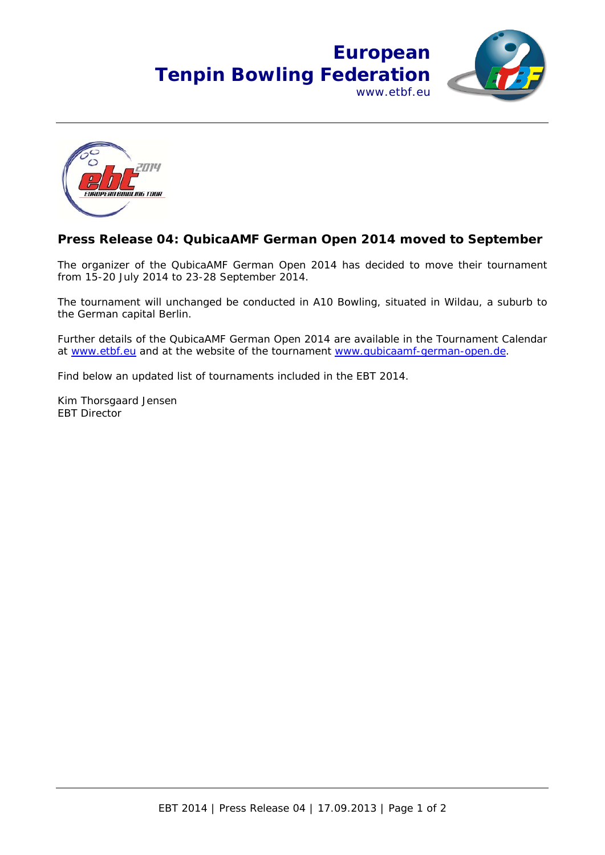



## **Press Release 04: QubicaAMF German Open 2014 moved to September**

The organizer of the QubicaAMF German Open 2014 has decided to move their tournament from 15-20 July 2014 to 23-28 September 2014.

The tournament will unchanged be conducted in A10 Bowling, situated in Wildau, a suburb to the German capital Berlin.

Further details of the QubicaAMF German Open 2014 are available in the Tournament Calendar at www.etbf.eu and at the website of the tournament www.qubicaamf-german-open.de.

Find below an updated list of tournaments included in the EBT 2014.

Kim Thorsgaard Jensen EBT Director